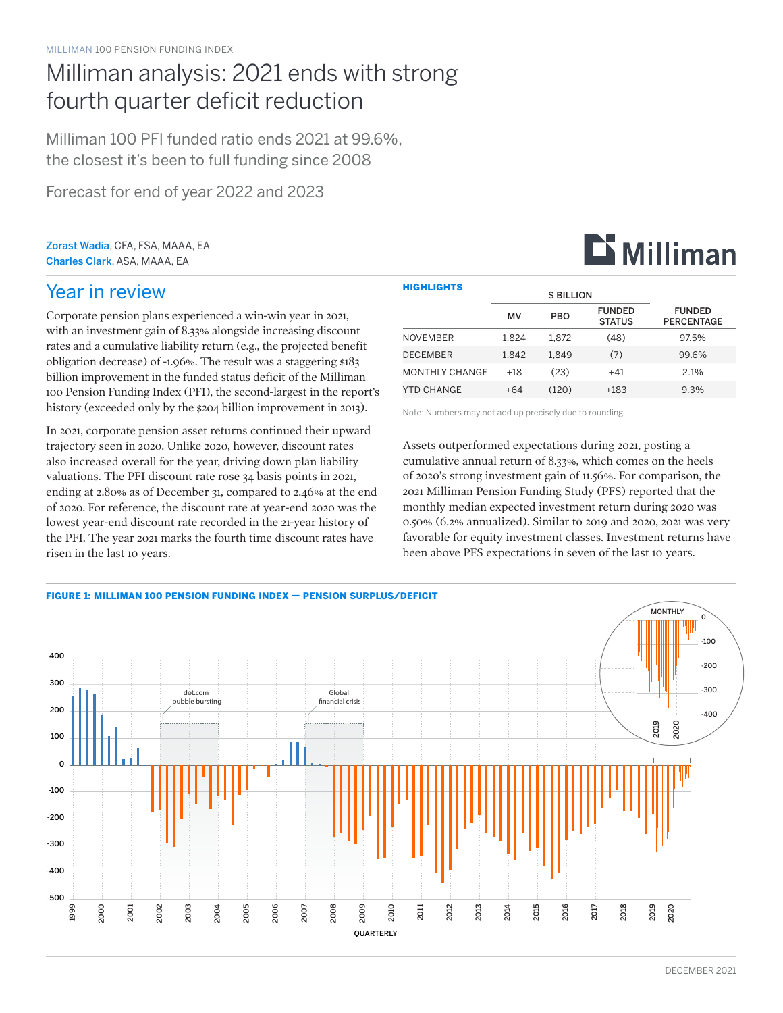# Milliman analysis: 2021 ends with strong fourth quarter deficit reduction

Milliman 100 PFI funded ratio ends 2021 at 99.6%, the closest it's been to full funding since 2008

Forecast for end of year 2022 and 2023

Zorast Wadia, CFA, FSA, MAAA, EA Charles Clark, ASA, MAAA, EA

## Year in review

Corporate pension plans experienced a win-win year in 2021, with an investment gain of 8.33% alongside increasing discount rates and a cumulative liability return (e.g., the projected benefit obligation decrease) of -1.96%. The result was a staggering \$183 billion improvement in the funded status deficit of the Milliman 100 Pension Funding Index (PFI), the second-largest in the report's history (exceeded only by the \$204 billion improvement in 2013).

In 2021, corporate pension asset returns continued their upward trajectory seen in 2020. Unlike 2020, however, discount rates also increased overall for the year, driving down plan liability valuations. The PFI discount rate rose 34 basis points in 2021, ending at 2.80% as of December 31, compared to 2.46% at the end of 2020. For reference, the discount rate at year-end 2020 was the lowest year-end discount rate recorded in the 21-year history of the PFI. The year 2021 marks the fourth time discount rates have risen in the last 10 years.

| <b>HIGHLIGHTS</b> |                   |            |                                |                                    |  |  |
|-------------------|-------------------|------------|--------------------------------|------------------------------------|--|--|
|                   | <b>\$ BILLION</b> |            |                                |                                    |  |  |
|                   | MV                | <b>PBO</b> | <b>FUNDED</b><br><b>STATUS</b> | <b>FUNDED</b><br><b>PERCENTAGE</b> |  |  |
| <b>NOVEMBER</b>   | 1.824             | 1.872      | (48)                           | 97.5%                              |  |  |
| <b>DECEMBER</b>   | 1.842             | 1.849      | (7)                            | 99.6%                              |  |  |
| MONTHLY CHANGE    | $+18$             | (23)       | $+41$                          | 2.1%                               |  |  |
| <b>YTD CHANGE</b> | $+64$             | (120)      | +183                           | 9.3%                               |  |  |

Note: Numbers may not add up precisely due to rounding

Assets outperformed expectations during 2021, posting a cumulative annual return of 8.33%, which comes on the heels of 2020's strong investment gain of 11.56%. For comparison, the 2021 Milliman Pension Funding Study (PFS) reported that the monthly median expected investment return during 2020 was 0.50% (6.2% annualized). Similar to 2019 and 2020, 2021 was very favorable for equity investment classes. Investment returns have been above PFS expectations in seven of the last 10 years.



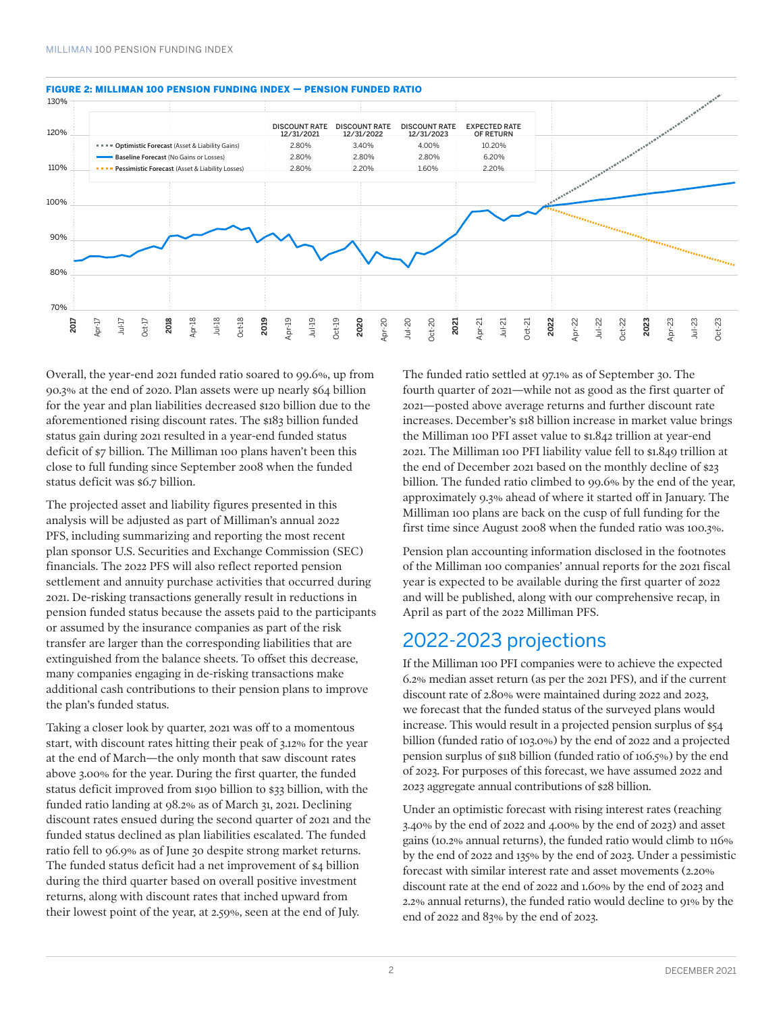

#### FIGURE 2: MILLIMAN 100 PENSION FUNDING INDEX — PENSION FUNDED RATIO

Overall, the year-end 2021 funded ratio soared to 99.6%, up from 90.3% at the end of 2020. Plan assets were up nearly \$64 billion for the year and plan liabilities decreased \$120 billion due to the aforementioned rising discount rates. The \$183 billion funded status gain during 2021 resulted in a year-end funded status deficit of \$7 billion. The Milliman 100 plans haven't been this close to full funding since September 2008 when the funded status deficit was \$6.7 billion.

The projected asset and liability figures presented in this analysis will be adjusted as part of Milliman's annual 2022 PFS, including summarizing and reporting the most recent plan sponsor U.S. Securities and Exchange Commission (SEC) financials. The 2022 PFS will also reflect reported pension settlement and annuity purchase activities that occurred during 2021. De-risking transactions generally result in reductions in pension funded status because the assets paid to the participants or assumed by the insurance companies as part of the risk transfer are larger than the corresponding liabilities that are extinguished from the balance sheets. To offset this decrease, many companies engaging in de-risking transactions make additional cash contributions to their pension plans to improve the plan's funded status.

Taking a closer look by quarter, 2021 was off to a momentous start, with discount rates hitting their peak of 3.12% for the year at the end of March—the only month that saw discount rates above 3.00% for the year. During the first quarter, the funded status deficit improved from \$190 billion to \$33 billion, with the funded ratio landing at 98.2% as of March 31, 2021. Declining discount rates ensued during the second quarter of 2021 and the funded status declined as plan liabilities escalated. The funded ratio fell to 96.9% as of June 30 despite strong market returns. The funded status deficit had a net improvement of \$4 billion during the third quarter based on overall positive investment returns, along with discount rates that inched upward from their lowest point of the year, at 2.59%, seen at the end of July.

The funded ratio settled at 97.1% as of September 30. The fourth quarter of 2021—while not as good as the first quarter of 2021—posted above average returns and further discount rate increases. December's \$18 billion increase in market value brings the Milliman 100 PFI asset value to \$1.842 trillion at year-end 2021. The Milliman 100 PFI liability value fell to \$1.849 trillion at the end of December 2021 based on the monthly decline of \$23 billion. The funded ratio climbed to 99.6% by the end of the year, approximately 9.3% ahead of where it started off in January. The Milliman 100 plans are back on the cusp of full funding for the first time since August 2008 when the funded ratio was 100.3%.

Pension plan accounting information disclosed in the footnotes of the Milliman 100 companies' annual reports for the 2021 fiscal year is expected to be available during the first quarter of 2022 and will be published, along with our comprehensive recap, in April as part of the 2022 Milliman PFS.

### 2022-2023 projections

If the Milliman 100 PFI companies were to achieve the expected 6.2% median asset return (as per the 2021 PFS), and if the current discount rate of 2.80% were maintained during 2022 and 2023, we forecast that the funded status of the surveyed plans would increase. This would result in a projected pension surplus of \$54 billion (funded ratio of 103.0%) by the end of 2022 and a projected pension surplus of \$118 billion (funded ratio of 106.5%) by the end of 2023. For purposes of this forecast, we have assumed 2022 and 2023 aggregate annual contributions of \$28 billion.

Under an optimistic forecast with rising interest rates (reaching 3.40% by the end of 2022 and 4.00% by the end of 2023) and asset gains (10.2% annual returns), the funded ratio would climb to 116% by the end of 2022 and 135% by the end of 2023. Under a pessimistic forecast with similar interest rate and asset movements (2.20% discount rate at the end of 2022 and 1.60% by the end of 2023 and 2.2% annual returns), the funded ratio would decline to 91% by the end of 2022 and 83% by the end of 2023.